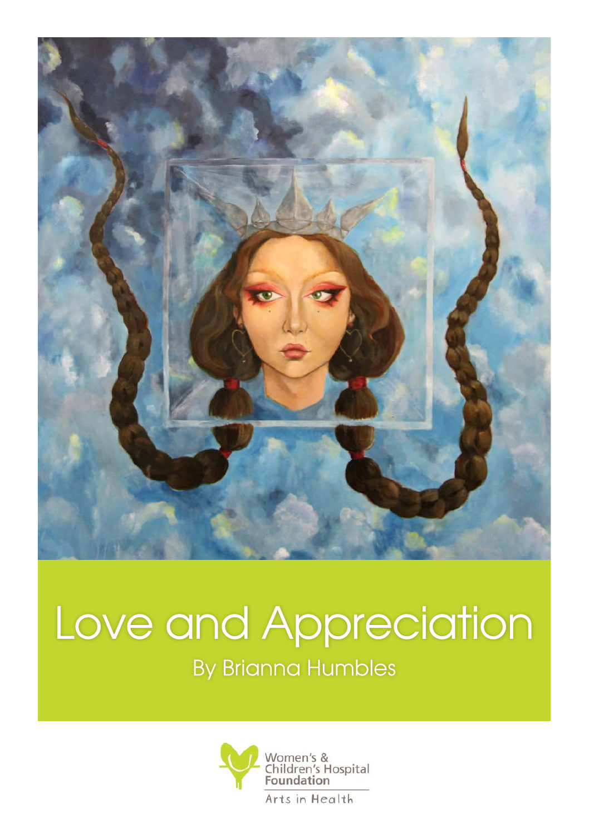

## Love and Appreciation By Brianna Humbles

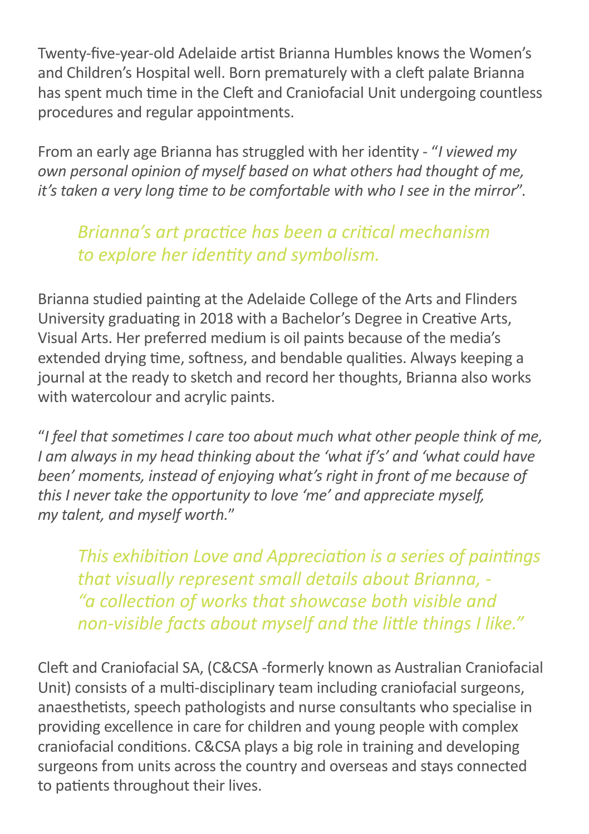Twenty-five-year-old Adelaide artist Brianna Humbles knows the Women's and Children's Hospital well. Born prematurely with a cleft palate Brianna has spent much time in the Cleft and Craniofacial Unit undergoing countless procedures and regular appointments.

From an early age Brianna has struggled with her identity - "*I viewed my own personal opinion of myself based on what others had thought of me, it's taken a very long time to be comfortable with who I see in the mirror*".

## *Brianna's art practice has been a critical mechanism to explore her identity and symbolism.*

Brianna studied painting at the Adelaide College of the Arts and Flinders University graduating in 2018 with a Bachelor's Degree in Creative Arts, Visual Arts. Her preferred medium is oil paints because of the media's extended drying time, softness, and bendable qualities. Always keeping a journal at the ready to sketch and record her thoughts, Brianna also works with watercolour and acrylic paints.

"*I feel that sometimes I care too about much what other people think of me, I am always in my head thinking about the 'what if's' and 'what could have been' moments, instead of enjoying what's right in front of me because of this I never take the opportunity to love 'me' and appreciate myself, my talent, and myself worth.*"

*This exhibition Love and Appreciation is a series of paintings that visually represent small details about Brianna, - "a collection of works that showcase both visible and non-visible facts about myself and the little things I like."* 

Cleft and Craniofacial SA, (C&CSA -formerly known as Australian Craniofacial Unit) consists of a multi-disciplinary team including craniofacial surgeons, anaesthetists, speech pathologists and nurse consultants who specialise in providing excellence in care for children and young people with complex craniofacial conditions. C&CSA plays a big role in training and developing surgeons from units across the country and overseas and stays connected to patients throughout their lives.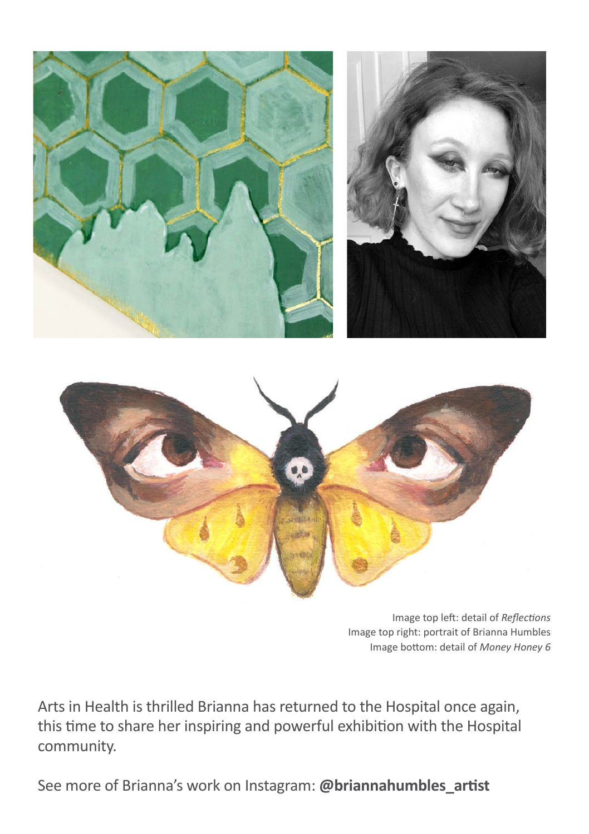



Image top left: detail of *Reflections*  Image top right: portrait of Brianna Humbles Image bottom: detail of *Money Honey 6*

Arts in Health is thrilled Brianna has returned to the Hospital once again, this time to share her inspiring and powerful exhibition with the Hospital community.

See more of Brianna's work on Instagram: **@briannahumbles\_artist**